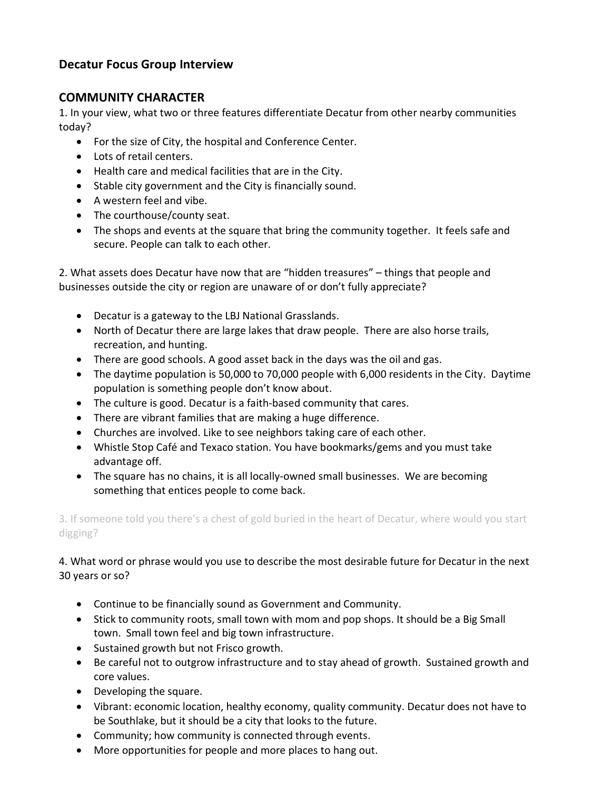# **Decatur Focus Group Interview**

#### **COMMUNITY CHARACTER**

1. In your view, what two or three features differentiate Decatur from other nearby communities today?

- For the size of City, the hospital and Conference Center.
- Lots of retail centers.
- Health care and medical facilities that are in the City.
- Stable city government and the City is financially sound.
- A western feel and vibe.
- The courthouse/county seat.
- The shops and events at the square that bring the community together. It feels safe and secure. People can talk to each other.

2. What assets does Decatur have now that are "hidden treasures" – things that people and businesses outside the city or region are unaware of or don't fully appreciate?

- Decatur is a gateway to the LBJ National Grasslands.
- North of Decatur there are large lakes that draw people. There are also horse trails, recreation, and hunting.
- There are good schools. A good asset back in the days was the oil and gas.
- The daytime population is 50,000 to 70,000 people with 6,000 residents in the City. Daytime population is something people don't know about.
- The culture is good. Decatur is a faith-based community that cares.
- There are vibrant families that are making a huge difference.
- Churches are involved. Like to see neighbors taking care of each other.
- Whistle Stop Café and Texaco station. You have bookmarks/gems and you must take advantage off.
- The square has no chains, it is all locally-owned small businesses. We are becoming something that entices people to come back.

3. If someone told you there's a chest of gold buried in the heart of Decatur, where would you start digging?

4. What word or phrase would you use to describe the most desirable future for Decatur in the next 30 years or so?

- Continue to be financially sound as Government and Community.
- Stick to community roots, small town with mom and pop shops. It should be a Big Small town. Small town feel and big town infrastructure.
- Sustained growth but not Frisco growth.
- Be careful not to outgrow infrastructure and to stay ahead of growth. Sustained growth and core values.
- Developing the square.
- Vibrant: economic location, healthy economy, quality community. Decatur does not have to be Southlake, but it should be a city that looks to the future.
- Community; how community is connected through events.
- More opportunities for people and more places to hang out.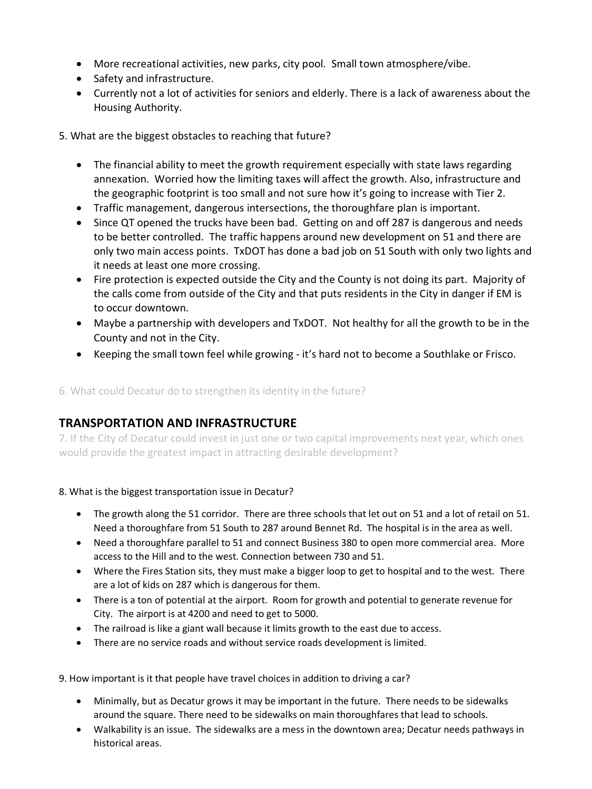- More recreational activities, new parks, city pool. Small town atmosphere/vibe.
- Safety and infrastructure.
- Currently not a lot of activities for seniors and elderly. There is a lack of awareness about the Housing Authority.

5. What are the biggest obstacles to reaching that future?

- The financial ability to meet the growth requirement especially with state laws regarding annexation. Worried how the limiting taxes will affect the growth. Also, infrastructure and the geographic footprint is too small and not sure how it's going to increase with Tier 2.
- Traffic management, dangerous intersections, the thoroughfare plan is important.
- Since QT opened the trucks have been bad. Getting on and off 287 is dangerous and needs to be better controlled. The traffic happens around new development on 51 and there are only two main access points. TxDOT has done a bad job on 51 South with only two lights and it needs at least one more crossing.
- Fire protection is expected outside the City and the County is not doing its part. Majority of the calls come from outside of the City and that puts residents in the City in danger if EM is to occur downtown.
- Maybe a partnership with developers and TxDOT. Not healthy for all the growth to be in the County and not in the City.
- Keeping the small town feel while growing it's hard not to become a Southlake or Frisco.

6. What could Decatur do to strengthen its identity in the future?

# **TRANSPORTATION AND INFRASTRUCTURE**

7. If the City of Decatur could invest in just one or two capital improvements next year, which ones would provide the greatest impact in attracting desirable development?

#### 8. What is the biggest transportation issue in Decatur?

- The growth along the 51 corridor. There are three schools that let out on 51 and a lot of retail on 51. Need a thoroughfare from 51 South to 287 around Bennet Rd. The hospital is in the area as well.
- Need a thoroughfare parallel to 51 and connect Business 380 to open more commercial area. More access to the Hill and to the west. Connection between 730 and 51.
- Where the Fires Station sits, they must make a bigger loop to get to hospital and to the west. There are a lot of kids on 287 which is dangerous for them.
- There is a ton of potential at the airport. Room for growth and potential to generate revenue for City. The airport is at 4200 and need to get to 5000.
- The railroad is like a giant wall because it limits growth to the east due to access.
- There are no service roads and without service roads development is limited.

9. How important is it that people have travel choices in addition to driving a car?

- Minimally, but as Decatur grows it may be important in the future. There needs to be sidewalks around the square. There need to be sidewalks on main thoroughfares that lead to schools.
- Walkability is an issue. The sidewalks are a mess in the downtown area; Decatur needs pathways in historical areas.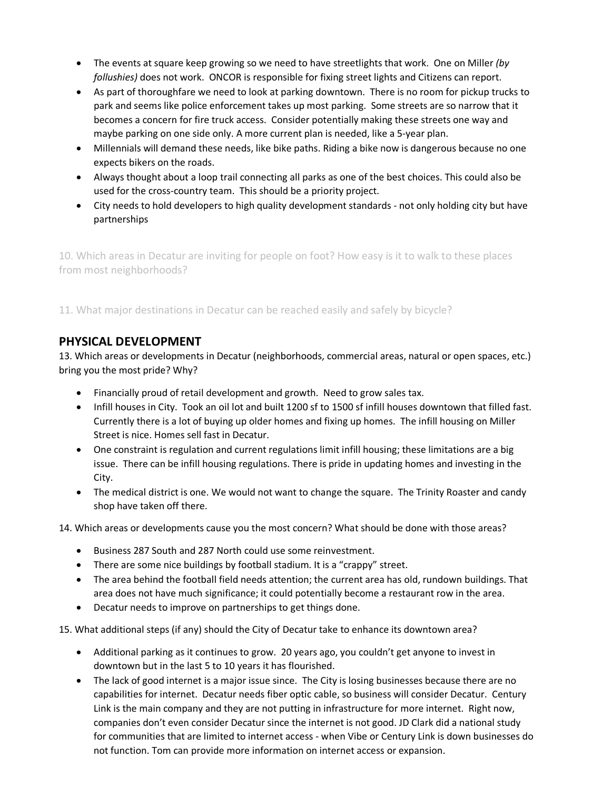- The events at square keep growing so we need to have streetlights that work. One on Miller *(by follushies)* does not work. ONCOR is responsible for fixing street lights and Citizens can report.
- As part of thoroughfare we need to look at parking downtown. There is no room for pickup trucks to park and seems like police enforcement takes up most parking. Some streets are so narrow that it becomes a concern for fire truck access. Consider potentially making these streets one way and maybe parking on one side only. A more current plan is needed, like a 5-year plan.
- Millennials will demand these needs, like bike paths. Riding a bike now is dangerous because no one expects bikers on the roads.
- Always thought about a loop trail connecting all parks as one of the best choices. This could also be used for the cross-country team. This should be a priority project.
- City needs to hold developers to high quality development standards not only holding city but have partnerships

10. Which areas in Decatur are inviting for people on foot? How easy is it to walk to these places from most neighborhoods?

11. What major destinations in Decatur can be reached easily and safely by bicycle?

## **PHYSICAL DEVELOPMENT**

13. Which areas or developments in Decatur (neighborhoods, commercial areas, natural or open spaces, etc.) bring you the most pride? Why?

- Financially proud of retail development and growth. Need to grow sales tax.
- Infill houses in City. Took an oil lot and built 1200 sf to 1500 sf infill houses downtown that filled fast. Currently there is a lot of buying up older homes and fixing up homes. The infill housing on Miller Street is nice. Homes sell fast in Decatur.
- One constraint is regulation and current regulations limit infill housing; these limitations are a big issue. There can be infill housing regulations. There is pride in updating homes and investing in the City.
- The medical district is one. We would not want to change the square. The Trinity Roaster and candy shop have taken off there.

14. Which areas or developments cause you the most concern? What should be done with those areas?

- Business 287 South and 287 North could use some reinvestment.
- There are some nice buildings by football stadium. It is a "crappy" street.
- The area behind the football field needs attention; the current area has old, rundown buildings. That area does not have much significance; it could potentially become a restaurant row in the area.
- Decatur needs to improve on partnerships to get things done.

15. What additional steps (if any) should the City of Decatur take to enhance its downtown area?

- Additional parking as it continues to grow. 20 years ago, you couldn't get anyone to invest in downtown but in the last 5 to 10 years it has flourished.
- The lack of good internet is a major issue since. The City is losing businesses because there are no capabilities for internet. Decatur needs fiber optic cable, so business will consider Decatur. Century Link is the main company and they are not putting in infrastructure for more internet. Right now, companies don't even consider Decatur since the internet is not good. JD Clark did a national study for communities that are limited to internet access - when Vibe or Century Link is down businesses do not function. Tom can provide more information on internet access or expansion.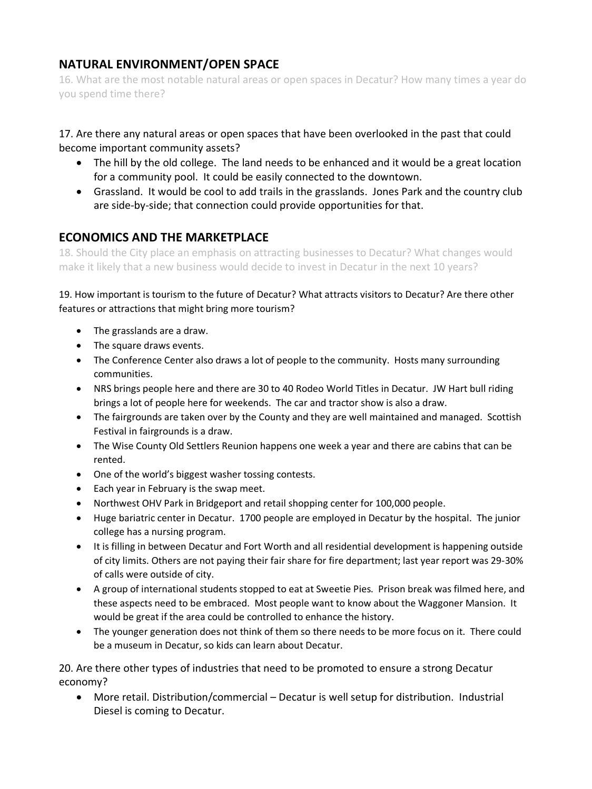## **NATURAL ENVIRONMENT/OPEN SPACE**

16. What are the most notable natural areas or open spaces in Decatur? How many times a year do you spend time there?

17. Are there any natural areas or open spaces that have been overlooked in the past that could become important community assets?

- The hill by the old college. The land needs to be enhanced and it would be a great location for a community pool. It could be easily connected to the downtown.
- Grassland. It would be cool to add trails in the grasslands. Jones Park and the country club are side-by-side; that connection could provide opportunities for that.

## **ECONOMICS AND THE MARKETPLACE**

18. Should the City place an emphasis on attracting businesses to Decatur? What changes would make it likely that a new business would decide to invest in Decatur in the next 10 years?

19. How important is tourism to the future of Decatur? What attracts visitors to Decatur? Are there other features or attractions that might bring more tourism?

- The grasslands are a draw.
- The square draws events.
- The Conference Center also draws a lot of people to the community. Hosts many surrounding communities.
- NRS brings people here and there are 30 to 40 Rodeo World Titles in Decatur. JW Hart bull riding brings a lot of people here for weekends. The car and tractor show is also a draw.
- The fairgrounds are taken over by the County and they are well maintained and managed. Scottish Festival in fairgrounds is a draw.
- The Wise County Old Settlers Reunion happens one week a year and there are cabins that can be rented.
- One of the world's biggest washer tossing contests.
- Each year in February is the swap meet.
- Northwest OHV Park in Bridgeport and retail shopping center for 100,000 people.
- Huge bariatric center in Decatur. 1700 people are employed in Decatur by the hospital. The junior college has a nursing program.
- It is filling in between Decatur and Fort Worth and all residential development is happening outside of city limits. Others are not paying their fair share for fire department; last year report was 29-30% of calls were outside of city.
- A group of international students stopped to eat at Sweetie Pies. Prison break was filmed here, and these aspects need to be embraced. Most people want to know about the Waggoner Mansion. It would be great if the area could be controlled to enhance the history.
- The younger generation does not think of them so there needs to be more focus on it. There could be a museum in Decatur, so kids can learn about Decatur.

20. Are there other types of industries that need to be promoted to ensure a strong Decatur economy?

• More retail. Distribution/commercial – Decatur is well setup for distribution. Industrial Diesel is coming to Decatur.